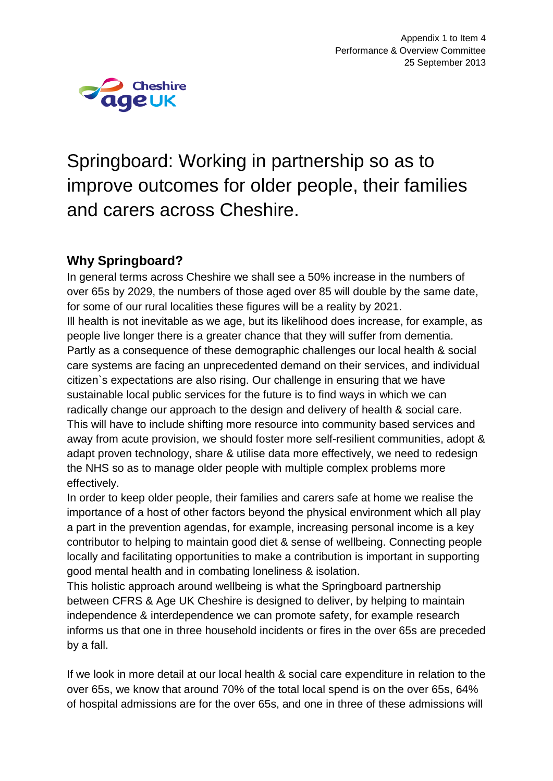

# Springboard: Working in partnership so as to improve outcomes for older people, their families and carers across Cheshire.

### **Why Springboard?**

In general terms across Cheshire we shall see a 50% increase in the numbers of over 65s by 2029, the numbers of those aged over 85 will double by the same date, for some of our rural localities these figures will be a reality by 2021. Ill health is not inevitable as we age, but its likelihood does increase, for example, as people live longer there is a greater chance that they will suffer from dementia. Partly as a consequence of these demographic challenges our local health & social care systems are facing an unprecedented demand on their services, and individual citizen`s expectations are also rising. Our challenge in ensuring that we have sustainable local public services for the future is to find ways in which we can radically change our approach to the design and delivery of health & social care. This will have to include shifting more resource into community based services and away from acute provision, we should foster more self-resilient communities, adopt & adapt proven technology, share & utilise data more effectively, we need to redesign the NHS so as to manage older people with multiple complex problems more effectively.

In order to keep older people, their families and carers safe at home we realise the importance of a host of other factors beyond the physical environment which all play a part in the prevention agendas, for example, increasing personal income is a key contributor to helping to maintain good diet & sense of wellbeing. Connecting people locally and facilitating opportunities to make a contribution is important in supporting good mental health and in combating loneliness & isolation.

This holistic approach around wellbeing is what the Springboard partnership between CFRS & Age UK Cheshire is designed to deliver, by helping to maintain independence & interdependence we can promote safety, for example research informs us that one in three household incidents or fires in the over 65s are preceded by a fall.

If we look in more detail at our local health & social care expenditure in relation to the over 65s, we know that around 70% of the total local spend is on the over 65s, 64% of hospital admissions are for the over 65s, and one in three of these admissions will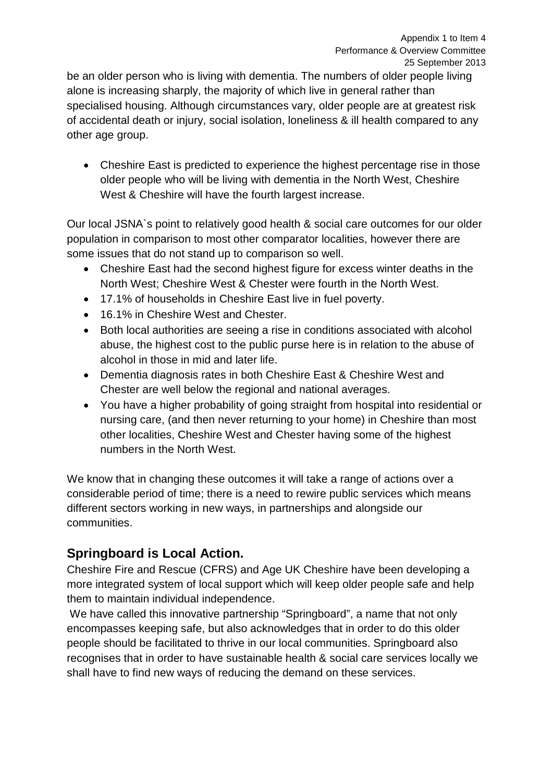be an older person who is living with dementia. The numbers of older people living alone is increasing sharply, the majority of which live in general rather than specialised housing. Although circumstances vary, older people are at greatest risk of accidental death or injury, social isolation, loneliness & ill health compared to any other age group.

• Cheshire East is predicted to experience the highest percentage rise in those older people who will be living with dementia in the North West, Cheshire West & Cheshire will have the fourth largest increase.

Our local JSNA`s point to relatively good health & social care outcomes for our older population in comparison to most other comparator localities, however there are some issues that do not stand up to comparison so well.

- Cheshire East had the second highest figure for excess winter deaths in the North West; Cheshire West & Chester were fourth in the North West.
- 17.1% of households in Cheshire East live in fuel poverty.
- 16.1% in Cheshire West and Chester.
- Both local authorities are seeing a rise in conditions associated with alcohol abuse, the highest cost to the public purse here is in relation to the abuse of alcohol in those in mid and later life.
- Dementia diagnosis rates in both Cheshire East & Cheshire West and Chester are well below the regional and national averages.
- You have a higher probability of going straight from hospital into residential or nursing care, (and then never returning to your home) in Cheshire than most other localities, Cheshire West and Chester having some of the highest numbers in the North West.

We know that in changing these outcomes it will take a range of actions over a considerable period of time; there is a need to rewire public services which means different sectors working in new ways, in partnerships and alongside our communities.

# **Springboard is Local Action.**

Cheshire Fire and Rescue (CFRS) and Age UK Cheshire have been developing a more integrated system of local support which will keep older people safe and help them to maintain individual independence.

We have called this innovative partnership "Springboard", a name that not only encompasses keeping safe, but also acknowledges that in order to do this older people should be facilitated to thrive in our local communities. Springboard also recognises that in order to have sustainable health & social care services locally we shall have to find new ways of reducing the demand on these services.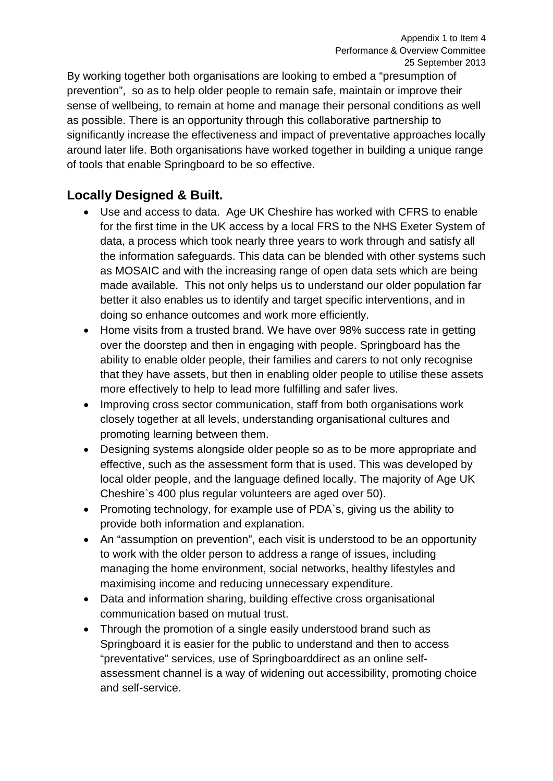By working together both organisations are looking to embed a "presumption of prevention", so as to help older people to remain safe, maintain or improve their sense of wellbeing, to remain at home and manage their personal conditions as well as possible. There is an opportunity through this collaborative partnership to significantly increase the effectiveness and impact of preventative approaches locally around later life. Both organisations have worked together in building a unique range of tools that enable Springboard to be so effective.

## **Locally Designed & Built.**

- Use and access to data. Age UK Cheshire has worked with CFRS to enable for the first time in the UK access by a local FRS to the NHS Exeter System of data, a process which took nearly three years to work through and satisfy all the information safeguards. This data can be blended with other systems such as MOSAIC and with the increasing range of open data sets which are being made available. This not only helps us to understand our older population far better it also enables us to identify and target specific interventions, and in doing so enhance outcomes and work more efficiently.
- Home visits from a trusted brand. We have over 98% success rate in getting over the doorstep and then in engaging with people. Springboard has the ability to enable older people, their families and carers to not only recognise that they have assets, but then in enabling older people to utilise these assets more effectively to help to lead more fulfilling and safer lives.
- Improving cross sector communication, staff from both organisations work closely together at all levels, understanding organisational cultures and promoting learning between them.
- Designing systems alongside older people so as to be more appropriate and effective, such as the assessment form that is used. This was developed by local older people, and the language defined locally. The majority of Age UK Cheshire`s 400 plus regular volunteers are aged over 50).
- Promoting technology, for example use of PDA`s, giving us the ability to provide both information and explanation.
- An "assumption on prevention", each visit is understood to be an opportunity to work with the older person to address a range of issues, including managing the home environment, social networks, healthy lifestyles and maximising income and reducing unnecessary expenditure.
- Data and information sharing, building effective cross organisational communication based on mutual trust.
- Through the promotion of a single easily understood brand such as Springboard it is easier for the public to understand and then to access "preventative" services, use of Springboarddirect as an online selfassessment channel is a way of widening out accessibility, promoting choice and self-service.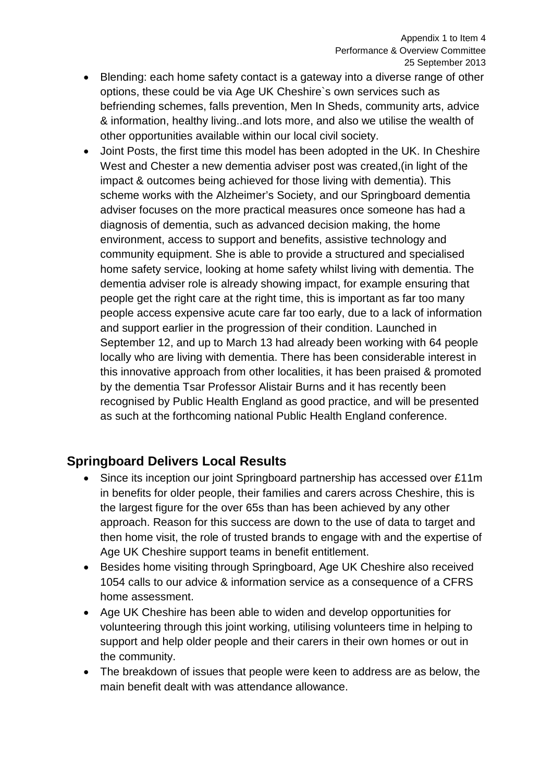- Blending: each home safety contact is a gateway into a diverse range of other options, these could be via Age UK Cheshire`s own services such as befriending schemes, falls prevention, Men In Sheds, community arts, advice & information, healthy living..and lots more, and also we utilise the wealth of other opportunities available within our local civil society.
- Joint Posts, the first time this model has been adopted in the UK. In Cheshire West and Chester a new dementia adviser post was created,(in light of the impact & outcomes being achieved for those living with dementia). This scheme works with the Alzheimer's Society, and our Springboard dementia adviser focuses on the more practical measures once someone has had a diagnosis of dementia, such as advanced decision making, the home environment, access to support and benefits, assistive technology and community equipment. She is able to provide a structured and specialised home safety service, looking at home safety whilst living with dementia. The dementia adviser role is already showing impact, for example ensuring that people get the right care at the right time, this is important as far too many people access expensive acute care far too early, due to a lack of information and support earlier in the progression of their condition. Launched in September 12, and up to March 13 had already been working with 64 people locally who are living with dementia. There has been considerable interest in this innovative approach from other localities, it has been praised & promoted by the dementia Tsar Professor Alistair Burns and it has recently been recognised by Public Health England as good practice, and will be presented as such at the forthcoming national Public Health England conference.

### **Springboard Delivers Local Results**

- Since its inception our joint Springboard partnership has accessed over £11m in benefits for older people, their families and carers across Cheshire, this is the largest figure for the over 65s than has been achieved by any other approach. Reason for this success are down to the use of data to target and then home visit, the role of trusted brands to engage with and the expertise of Age UK Cheshire support teams in benefit entitlement.
- Besides home visiting through Springboard, Age UK Cheshire also received 1054 calls to our advice & information service as a consequence of a CFRS home assessment.
- Age UK Cheshire has been able to widen and develop opportunities for volunteering through this joint working, utilising volunteers time in helping to support and help older people and their carers in their own homes or out in the community.
- The breakdown of issues that people were keen to address are as below, the main benefit dealt with was attendance allowance.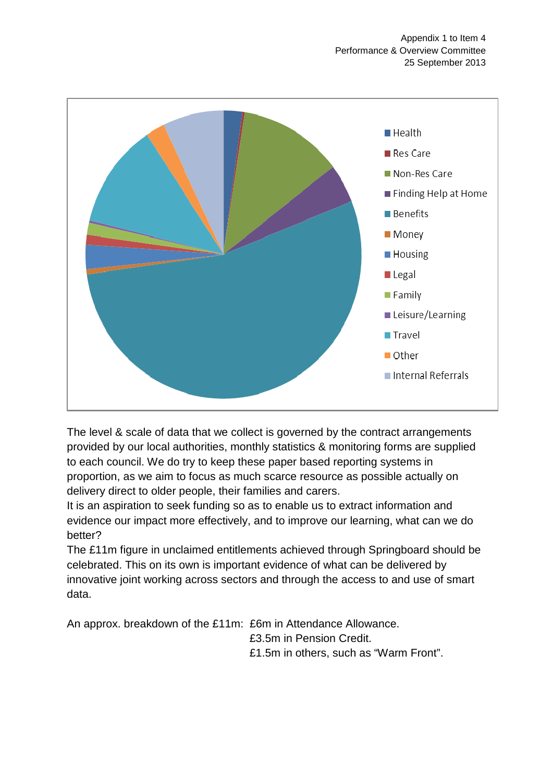

The level & scale of data that we collect is governed by the contract arrangements provided by our local authorities, monthly statistics & monitoring forms are supplied to each council. We do try to keep these paper based reporting systems in proportion, as we aim to focus as much scarce resource as possible actually on delivery direct to older people, their families and carers.

It is an aspiration to seek funding so as to enable us to extract information and evidence our impact more effectively, and to improve our learning, what can we do better?

The £11m figure in unclaimed entitlements achieved through Springboard should be celebrated. This on its own is important evidence of what can be delivered by innovative joint working across sectors and through the access to and use of smart data.

An approx. breakdown of the £11m: £6m in Attendance Allowance. £3.5m in Pension Credit. £1.5m in others, such as "Warm Front".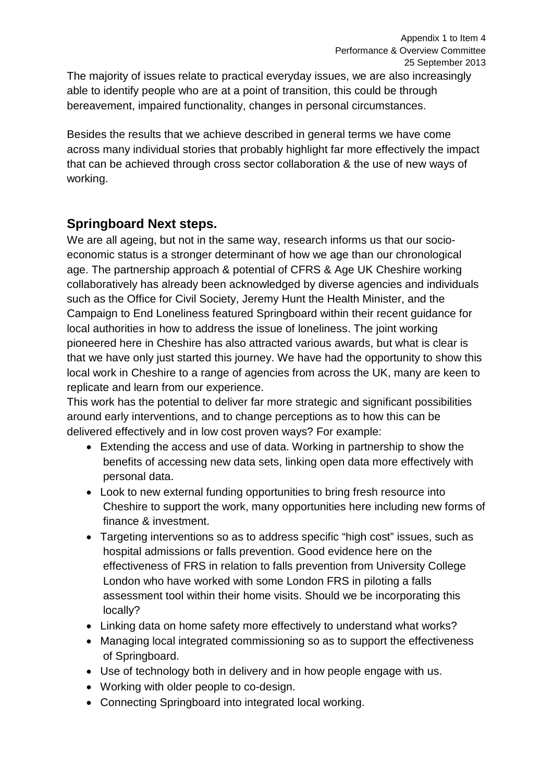The majority of issues relate to practical everyday issues, we are also increasingly able to identify people who are at a point of transition, this could be through bereavement, impaired functionality, changes in personal circumstances.

Besides the results that we achieve described in general terms we have come across many individual stories that probably highlight far more effectively the impact that can be achieved through cross sector collaboration & the use of new ways of working.

### **Springboard Next steps.**

We are all ageing, but not in the same way, research informs us that our socioeconomic status is a stronger determinant of how we age than our chronological age. The partnership approach & potential of CFRS & Age UK Cheshire working collaboratively has already been acknowledged by diverse agencies and individuals such as the Office for Civil Society, Jeremy Hunt the Health Minister, and the Campaign to End Loneliness featured Springboard within their recent guidance for local authorities in how to address the issue of loneliness. The joint working pioneered here in Cheshire has also attracted various awards, but what is clear is that we have only just started this journey. We have had the opportunity to show this local work in Cheshire to a range of agencies from across the UK, many are keen to replicate and learn from our experience.

This work has the potential to deliver far more strategic and significant possibilities around early interventions, and to change perceptions as to how this can be delivered effectively and in low cost proven ways? For example:

- Extending the access and use of data. Working in partnership to show the benefits of accessing new data sets, linking open data more effectively with personal data.
- Look to new external funding opportunities to bring fresh resource into Cheshire to support the work, many opportunities here including new forms of finance & investment.
- Targeting interventions so as to address specific "high cost" issues, such as hospital admissions or falls prevention. Good evidence here on the effectiveness of FRS in relation to falls prevention from University College London who have worked with some London FRS in piloting a falls assessment tool within their home visits. Should we be incorporating this locally?
- Linking data on home safety more effectively to understand what works?
- Managing local integrated commissioning so as to support the effectiveness of Springboard.
- Use of technology both in delivery and in how people engage with us.
- Working with older people to co-design.
- Connecting Springboard into integrated local working.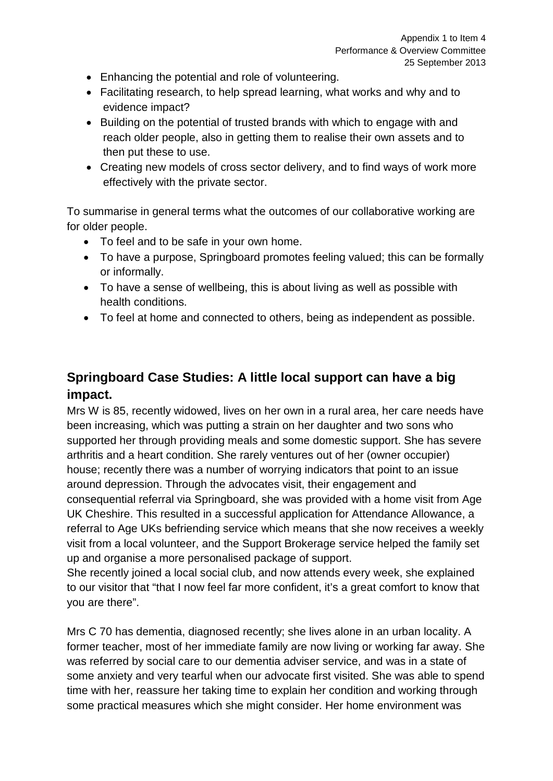- Enhancing the potential and role of volunteering.
- Facilitating research, to help spread learning, what works and why and to evidence impact?
- Building on the potential of trusted brands with which to engage with and reach older people, also in getting them to realise their own assets and to then put these to use.
- Creating new models of cross sector delivery, and to find ways of work more effectively with the private sector.

To summarise in general terms what the outcomes of our collaborative working are for older people.

- To feel and to be safe in your own home.
- To have a purpose, Springboard promotes feeling valued; this can be formally or informally.
- To have a sense of wellbeing, this is about living as well as possible with health conditions.
- To feel at home and connected to others, being as independent as possible.

# **Springboard Case Studies: A little local support can have a big impact.**

Mrs W is 85, recently widowed, lives on her own in a rural area, her care needs have been increasing, which was putting a strain on her daughter and two sons who supported her through providing meals and some domestic support. She has severe arthritis and a heart condition. She rarely ventures out of her (owner occupier) house; recently there was a number of worrying indicators that point to an issue around depression. Through the advocates visit, their engagement and consequential referral via Springboard, she was provided with a home visit from Age UK Cheshire. This resulted in a successful application for Attendance Allowance, a referral to Age UKs befriending service which means that she now receives a weekly visit from a local volunteer, and the Support Brokerage service helped the family set up and organise a more personalised package of support.

She recently joined a local social club, and now attends every week, she explained to our visitor that "that I now feel far more confident, it's a great comfort to know that you are there".

Mrs C 70 has dementia, diagnosed recently; she lives alone in an urban locality. A former teacher, most of her immediate family are now living or working far away. She was referred by social care to our dementia adviser service, and was in a state of some anxiety and very tearful when our advocate first visited. She was able to spend time with her, reassure her taking time to explain her condition and working through some practical measures which she might consider. Her home environment was